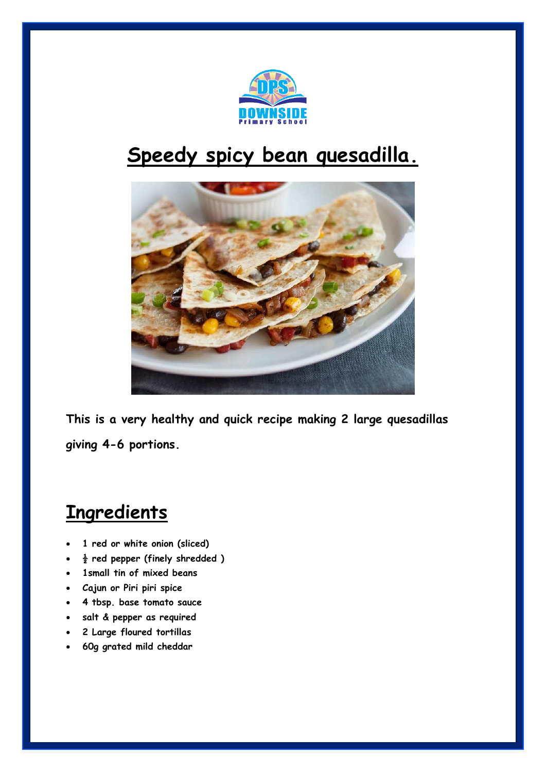

## **Speedy spicy bean quesadilla.**



**This is a very healthy and quick recipe making 2 large quesadillas giving 4-6 portions.**

## **Ingredients**

- **1 red or white onion (sliced)**
- **½ red pepper (finely shredded )**
- **1small tin of mixed beans**
- **Cajun or Piri piri spice**
- **4 tbsp. base tomato sauce**
- **salt & pepper as required**
- **2 Large floured tortillas**
- **60g grated mild cheddar**